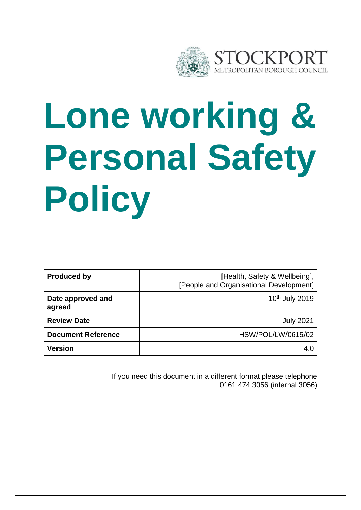

# **Lone working & Personal Safety Policy**

| <b>Produced by</b>          | [Health, Safety & Wellbeing],<br>[People and Organisational Development] |
|-----------------------------|--------------------------------------------------------------------------|
| Date approved and<br>agreed | 10 <sup>th</sup> July 2019                                               |
| <b>Review Date</b>          | <b>July 2021</b>                                                         |
| <b>Document Reference</b>   | <b>HSW/POL/LW/0615/02</b>                                                |
| Version                     | 4.0                                                                      |

If you need this document in a different format please telephone 0161 474 3056 (internal 3056)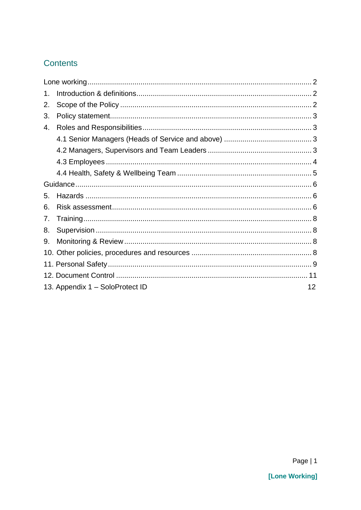### **Contents**

| 1. |                                 |    |
|----|---------------------------------|----|
| 2. |                                 |    |
| 3. |                                 |    |
| 4. |                                 |    |
|    |                                 |    |
|    |                                 |    |
|    |                                 |    |
|    |                                 |    |
|    |                                 |    |
| 5. |                                 |    |
| 6. |                                 |    |
| 7. |                                 |    |
| 8. |                                 |    |
| 9. |                                 |    |
|    |                                 |    |
|    |                                 |    |
|    |                                 |    |
|    | 13. Appendix 1 - SoloProtect ID | 12 |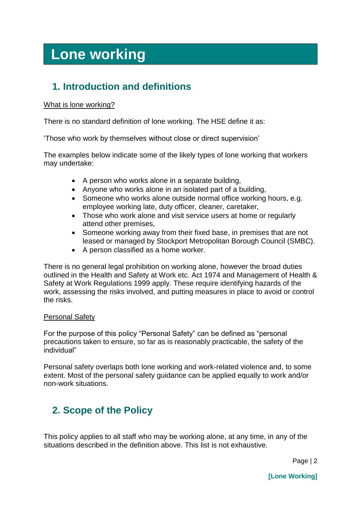# <span id="page-2-0"></span>**Lone working**

# <span id="page-2-1"></span>**1. Introduction and definitions**

#### What is lone working?

There is no standard definition of lone working. The HSE define it as:

'Those who work by themselves without close or direct supervision'

The examples below indicate some of the likely types of lone working that workers may undertake:

- A person who works alone in a separate building,
- Anyone who works alone in an isolated part of a building,
- Someone who works alone outside normal office working hours, e.g. employee working late, duty officer, cleaner, caretaker,
- Those who work alone and visit service users at home or regularly attend other premises,
- Someone working away from their fixed base, in premises that are not leased or managed by Stockport Metropolitan Borough Council (SMBC).
- A person classified as a home worker.

There is no general legal prohibition on working alone, however the broad duties outlined in the Health and Safety at Work etc. Act 1974 and Management of Health & Safety at Work Regulations 1999 apply. These require identifying hazards of the work, assessing the risks involved, and putting measures in place to avoid or control the risks.

#### Personal Safety

For the purpose of this policy "Personal Safety" can be defined as "personal precautions taken to ensure, so far as is reasonably practicable, the safety of the individual"

Personal safety overlaps both lone working and work-related violence and, to some extent. Most of the personal safety guidance can be applied equally to work and/or non-work situations.

# <span id="page-2-2"></span>**2. Scope of the Policy**

This policy applies to all staff who may be working alone, at any time, in any of the situations described in the definition above. This list is not exhaustive.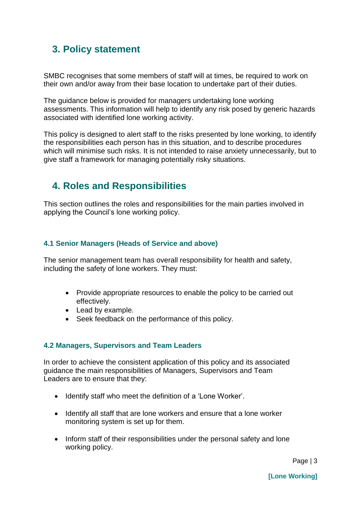# <span id="page-3-0"></span>**3. Policy statement**

SMBC recognises that some members of staff will at times, be required to work on their own and/or away from their base location to undertake part of their duties.

The guidance below is provided for managers undertaking lone working assessments. This information will help to identify any risk posed by generic hazards associated with identified lone working activity.

This policy is designed to alert staff to the risks presented by lone working, to identify the responsibilities each person has in this situation, and to describe procedures which will minimise such risks. It is not intended to raise anxiety unnecessarily, but to give staff a framework for managing potentially risky situations.

# <span id="page-3-1"></span>**4. Roles and Responsibilities**

This section outlines the roles and responsibilities for the main parties involved in applying the Council's lone working policy.

#### <span id="page-3-2"></span>**4.1 Senior Managers (Heads of Service and above)**

The senior management team has overall responsibility for health and safety, including the safety of lone workers. They must:

- Provide appropriate resources to enable the policy to be carried out effectively.
- Lead by example.
- Seek feedback on the performance of this policy.

#### <span id="page-3-3"></span>**4.2 Managers, Supervisors and Team Leaders**

In order to achieve the consistent application of this policy and its associated guidance the main responsibilities of Managers, Supervisors and Team Leaders are to ensure that they:

- Identify staff who meet the definition of a 'Lone Worker'.
- Identify all staff that are lone workers and ensure that a lone worker monitoring system is set up for them.
- Inform staff of their responsibilities under the personal safety and lone working policy.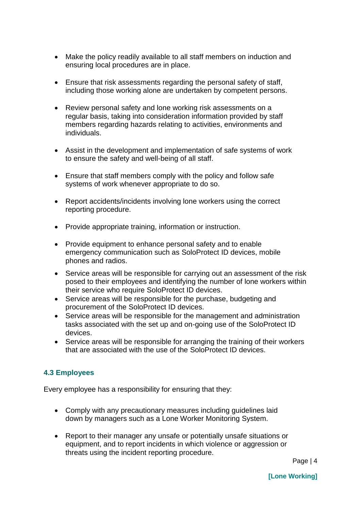- Make the policy readily available to all staff members on induction and ensuring local procedures are in place.
- Ensure that risk assessments regarding the personal safety of staff, including those working alone are undertaken by competent persons.
- Review personal safety and lone working risk assessments on a regular basis, taking into consideration information provided by staff members regarding hazards relating to activities, environments and individuals.
- Assist in the development and implementation of safe systems of work to ensure the safety and well-being of all staff.
- Ensure that staff members comply with the policy and follow safe systems of work whenever appropriate to do so.
- Report accidents/incidents involving lone workers using the correct reporting procedure.
- Provide appropriate training, information or instruction.
- Provide equipment to enhance personal safety and to enable emergency communication such as SoloProtect ID devices, mobile phones and radios.
- Service areas will be responsible for carrying out an assessment of the risk posed to their employees and identifying the number of lone workers within their service who require SoloProtect ID devices.
- Service areas will be responsible for the purchase, budgeting and procurement of the SoloProtect ID devices.
- Service areas will be responsible for the management and administration tasks associated with the set up and on-going use of the SoloProtect ID devices.
- Service areas will be responsible for arranging the training of their workers that are associated with the use of the SoloProtect ID devices.

#### <span id="page-4-0"></span>**4.3 Employees**

Every employee has a responsibility for ensuring that they:

- Comply with any precautionary measures including guidelines laid down by managers such as a Lone Worker Monitoring System.
- Report to their manager any unsafe or potentially unsafe situations or equipment, and to report incidents in which violence or aggression or threats using the incident reporting procedure.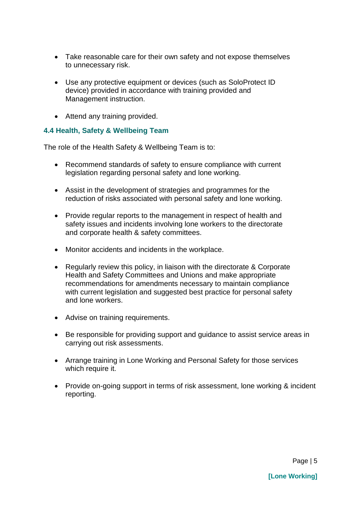- Take reasonable care for their own safety and not expose themselves to unnecessary risk.
- Use any protective equipment or devices (such as SoloProtect ID device) provided in accordance with training provided and Management instruction.
- Attend any training provided.

#### <span id="page-5-0"></span>**4.4 Health, Safety & Wellbeing Team**

The role of the Health Safety & Wellbeing Team is to:

- Recommend standards of safety to ensure compliance with current legislation regarding personal safety and lone working.
- Assist in the development of strategies and programmes for the reduction of risks associated with personal safety and lone working.
- Provide regular reports to the management in respect of health and safety issues and incidents involving lone workers to the directorate and corporate health & safety committees.
- Monitor accidents and incidents in the workplace.
- Regularly review this policy, in liaison with the directorate & Corporate Health and Safety Committees and Unions and make appropriate recommendations for amendments necessary to maintain compliance with current legislation and suggested best practice for personal safety and lone workers.
- Advise on training requirements.
- Be responsible for providing support and guidance to assist service areas in carrying out risk assessments.
- Arrange training in Lone Working and Personal Safety for those services which require it.
- Provide on-going support in terms of risk assessment, lone working & incident reporting.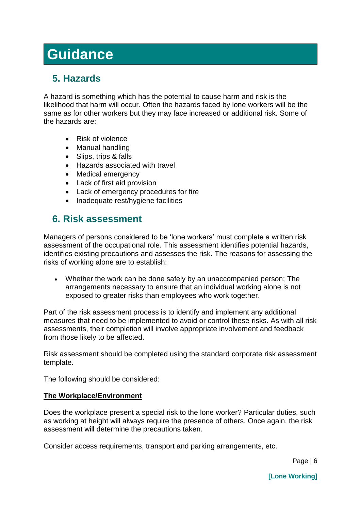# <span id="page-6-0"></span>**Guidance**

# <span id="page-6-1"></span>**5. Hazards**

A hazard is something which has the potential to cause harm and risk is the likelihood that harm will occur. Often the hazards faced by lone workers will be the same as for other workers but they may face increased or additional risk. Some of the hazards are:

- Risk of violence
- Manual handling
- Slips, trips & falls
- Hazards associated with travel
- Medical emergency
- Lack of first aid provision
- Lack of emergency procedures for fire
- Inadequate rest/hygiene facilities

### <span id="page-6-2"></span>**6. Risk assessment**

Managers of persons considered to be 'lone workers' must complete a written risk assessment of the occupational role. This assessment identifies potential hazards, identifies existing precautions and assesses the risk. The reasons for assessing the risks of working alone are to establish:

 Whether the work can be done safely by an unaccompanied person; The arrangements necessary to ensure that an individual working alone is not exposed to greater risks than employees who work together.

Part of the risk assessment process is to identify and implement any additional measures that need to be implemented to avoid or control these risks. As with all risk assessments, their completion will involve appropriate involvement and feedback from those likely to be affected.

Risk assessment should be completed using the standard corporate risk assessment template.

The following should be considered:

#### **The Workplace/Environment**

Does the workplace present a special risk to the lone worker? Particular duties, such as working at height will always require the presence of others. Once again, the risk assessment will determine the precautions taken.

Consider access requirements, transport and parking arrangements, etc.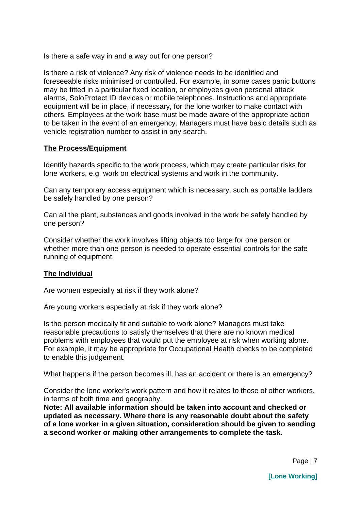Is there a safe way in and a way out for one person?

Is there a risk of violence? Any risk of violence needs to be identified and foreseeable risks minimised or controlled. For example, in some cases panic buttons may be fitted in a particular fixed location, or employees given personal attack alarms, SoloProtect ID devices or mobile telephones. Instructions and appropriate equipment will be in place, if necessary, for the lone worker to make contact with others. Employees at the work base must be made aware of the appropriate action to be taken in the event of an emergency. Managers must have basic details such as vehicle registration number to assist in any search.

#### **The Process/Equipment**

Identify hazards specific to the work process, which may create particular risks for lone workers, e.g. work on electrical systems and work in the community.

Can any temporary access equipment which is necessary, such as portable ladders be safely handled by one person?

Can all the plant, substances and goods involved in the work be safely handled by one person?

Consider whether the work involves lifting objects too large for one person or whether more than one person is needed to operate essential controls for the safe running of equipment.

#### **The Individual**

Are women especially at risk if they work alone?

Are young workers especially at risk if they work alone?

Is the person medically fit and suitable to work alone? Managers must take reasonable precautions to satisfy themselves that there are no known medical problems with employees that would put the employee at risk when working alone. For example, it may be appropriate for Occupational Health checks to be completed to enable this judgement.

What happens if the person becomes ill, has an accident or there is an emergency?

Consider the lone worker's work pattern and how it relates to those of other workers, in terms of both time and geography.

**Note: All available information should be taken into account and checked or updated as necessary. Where there is any reasonable doubt about the safety of a lone worker in a given situation, consideration should be given to sending a second worker or making other arrangements to complete the task.**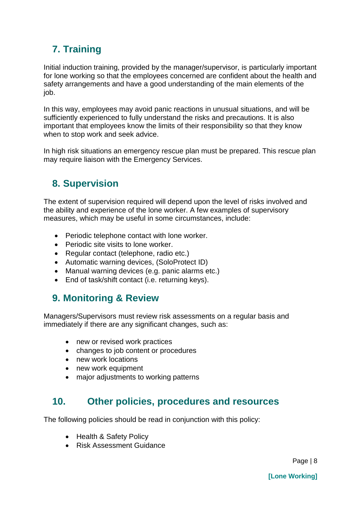# <span id="page-8-0"></span>**7. Training**

Initial induction training, provided by the manager/supervisor, is particularly important for lone working so that the employees concerned are confident about the health and safety arrangements and have a good understanding of the main elements of the job.

In this way, employees may avoid panic reactions in unusual situations, and will be sufficiently experienced to fully understand the risks and precautions. It is also important that employees know the limits of their responsibility so that they know when to stop work and seek advice.

<span id="page-8-1"></span>In high risk situations an emergency rescue plan must be prepared. This rescue plan may require liaison with the Emergency Services.

# **8. Supervision**

The extent of supervision required will depend upon the level of risks involved and the ability and experience of the lone worker. A few examples of supervisory measures, which may be useful in some circumstances, include:

- Periodic telephone contact with lone worker.
- Periodic site visits to lone worker.
- Regular contact (telephone, radio etc.)
- Automatic warning devices, (SoloProtect ID)
- Manual warning devices (e.g. panic alarms etc.)
- End of task/shift contact (i.e. returning keys).

### <span id="page-8-2"></span>**9. Monitoring & Review**

Managers/Supervisors must review risk assessments on a regular basis and immediately if there are any significant changes, such as:

- new or revised work practices
- changes to job content or procedures
- new work locations
- new work equipment
- major adjustments to working patterns

## <span id="page-8-3"></span>**10. Other policies, procedures and resources**

The following policies should be read in conjunction with this policy:

- Health & Safety Policy
- Risk Assessment Guidance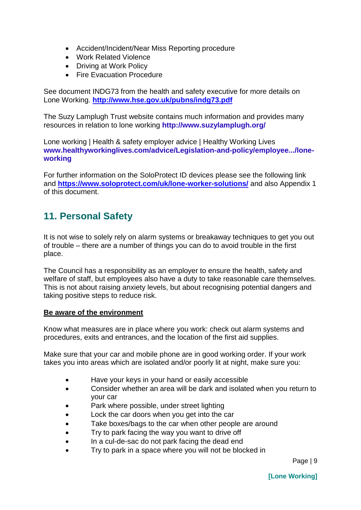- Accident/Incident/Near Miss Reporting procedure
- Work Related Violence
- Driving at Work Policy
- Fire Evacuation Procedure

See document INDG73 from the health and safety executive for more details on Lone Working. **<http://www.hse.gov.uk/pubns/indg73.pdf>**

The Suzy Lamplugh Trust website contains much information and provides many resources in relation to lone working **<http://www.suzylamplugh.org/>**

[Lone working | Health & safety employer advice | Healthy Working Lives](http://www.healthyworkinglives.com/advice/Legislation-and-policy/employee-issues/lone-working) **[www.healthyworkinglives.com/advice/Legislation-and-policy/employee.../lone](http://www.healthyworkinglives.com/advice/Legislation-and-policy/employee.../lone-working)[working](http://www.healthyworkinglives.com/advice/Legislation-and-policy/employee.../lone-working)**

For further information on the SoloProtect ID devices please see the following link and **<https://www.soloprotect.com/uk/lone-worker-solutions/>** and also Appendix 1 of this document.

# <span id="page-9-0"></span>**11. Personal Safety**

It is not wise to solely rely on alarm systems or breakaway techniques to get you out of trouble – there are a number of things you can do to avoid trouble in the first place.

The Council has a responsibility as an employer to ensure the health, safety and welfare of staff, but employees also have a duty to take reasonable care themselves. This is not about raising anxiety levels, but about recognising potential dangers and taking positive steps to reduce risk.

#### **Be aware of the environment**

Know what measures are in place where you work: check out alarm systems and procedures, exits and entrances, and the location of the first aid supplies.

Make sure that your car and mobile phone are in good working order. If your work takes you into areas which are isolated and/or poorly lit at night, make sure you:

- Have your keys in your hand or easily accessible
- Consider whether an area will be dark and isolated when you return to your car
- Park where possible, under street lighting
- Lock the car doors when you get into the car
- Take boxes/bags to the car when other people are around
- Try to park facing the way you want to drive off
- In a cul-de-sac do not park facing the dead end
- Try to park in a space where you will not be blocked in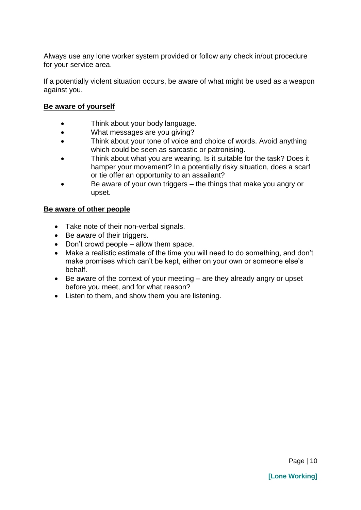Always use any lone worker system provided or follow any check in/out procedure for your service area.

If a potentially violent situation occurs, be aware of what might be used as a weapon against you.

#### **Be aware of yourself**

- Think about your body language.
- What messages are you giving?
- Think about your tone of voice and choice of words. Avoid anything which could be seen as sarcastic or patronising.
- Think about what you are wearing. Is it suitable for the task? Does it hamper your movement? In a potentially risky situation, does a scarf or tie offer an opportunity to an assailant?
- Be aware of your own triggers the things that make you angry or upset.

#### **Be aware of other people**

- Take note of their non-verbal signals.
- Be aware of their triggers.
- Don't crowd people allow them space.
- Make a realistic estimate of the time you will need to do something, and don't make promises which can't be kept, either on your own or someone else's behalf.
- Be aware of the context of your meeting are they already angry or upset before you meet, and for what reason?
- Listen to them, and show them you are listening.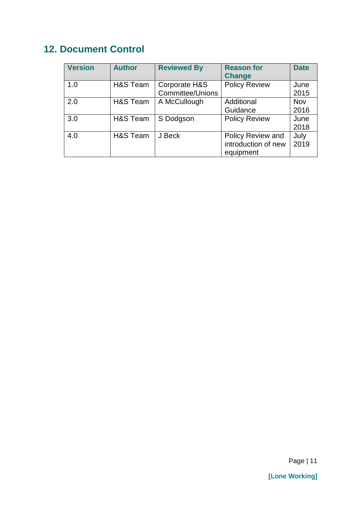# <span id="page-11-0"></span>**12. Document Control**

| <b>Version</b> | <b>Author</b> | <b>Reviewed By</b>                       | <b>Reason for</b><br><b>Change</b>                    | <b>Date</b>  |
|----------------|---------------|------------------------------------------|-------------------------------------------------------|--------------|
| 1.0            | H&S Team      | Corporate H&S<br><b>Committee/Unions</b> | <b>Policy Review</b>                                  | June<br>2015 |
| 2.0            | H&S Team      | A McCullough                             | Additional<br>Guidance                                | Nov<br>2016  |
| 3.0            | H&S Team      | S Dodgson                                | <b>Policy Review</b>                                  | June<br>2018 |
| 4.0            | H&S Team      | J Beck                                   | Policy Review and<br>introduction of new<br>equipment | July<br>2019 |

**[Lone Working]**